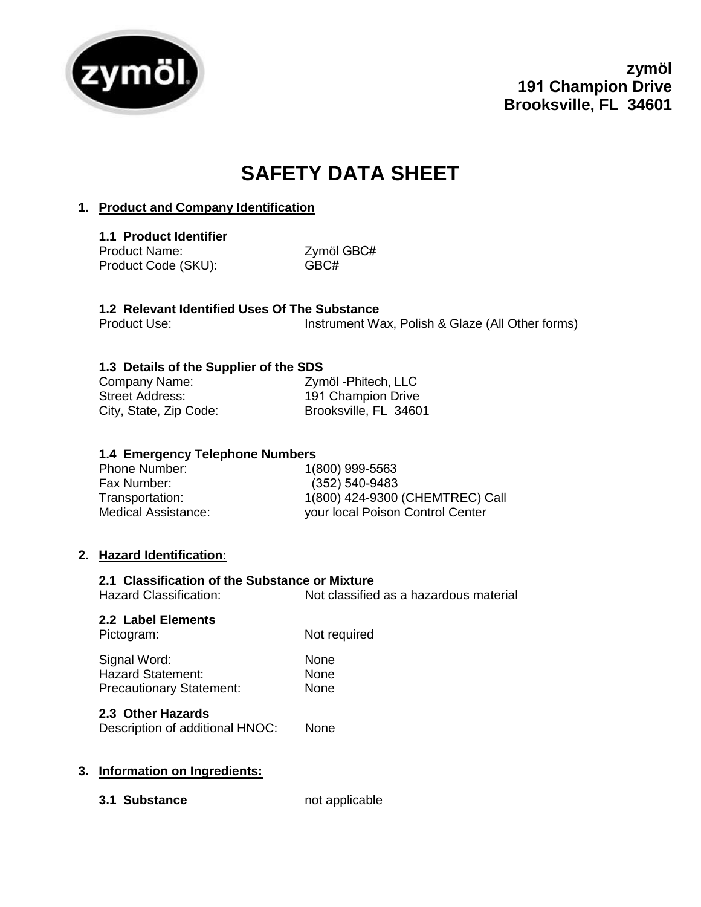

# **SAFETY DATA SHEET**

# **1. Product and Company Identification**

**1.1 Product Identifier** Product Name: Product Code (SKU):

Zymöl GBC# GBC#

#### **1.2 Relevant Identified Uses Of The Substance**  Product Use: Instrument Wax, Polish & Glaze (All Other forms)

# **1.3 Details of the Supplier of the SDS**

| Company Name:          | Zymöl - Phitech, LLC  |
|------------------------|-----------------------|
| Street Address:        | 191 Champion Drive    |
| City, State, Zip Code: | Brooksville, FL 34601 |

## **1.4 Emergency Telephone Numbers**

| Phone Number:       | 1(800) 999-5563                  |
|---------------------|----------------------------------|
| Fax Number:         | $(352) 540 - 9483$               |
| Transportation:     | 1(800) 424-9300 (CHEMTREC) Call  |
| Medical Assistance: | your local Poison Control Center |

## **2. Hazard Identification:**

## **2.1 Classification of the Substance or Mixture**

Hazard Classification: Not classified as a hazardous material

**2.2 Label Elements**

Pictogram: Not required

| Signal Word:                    | <b>None</b> |
|---------------------------------|-------------|
| <b>Hazard Statement:</b>        | None        |
| <b>Precautionary Statement:</b> | None        |

# **2.3 Other Hazards**

Description of additional HNOC: None

## **3. Information on Ingredients:**

**3.1 Substance** not applicable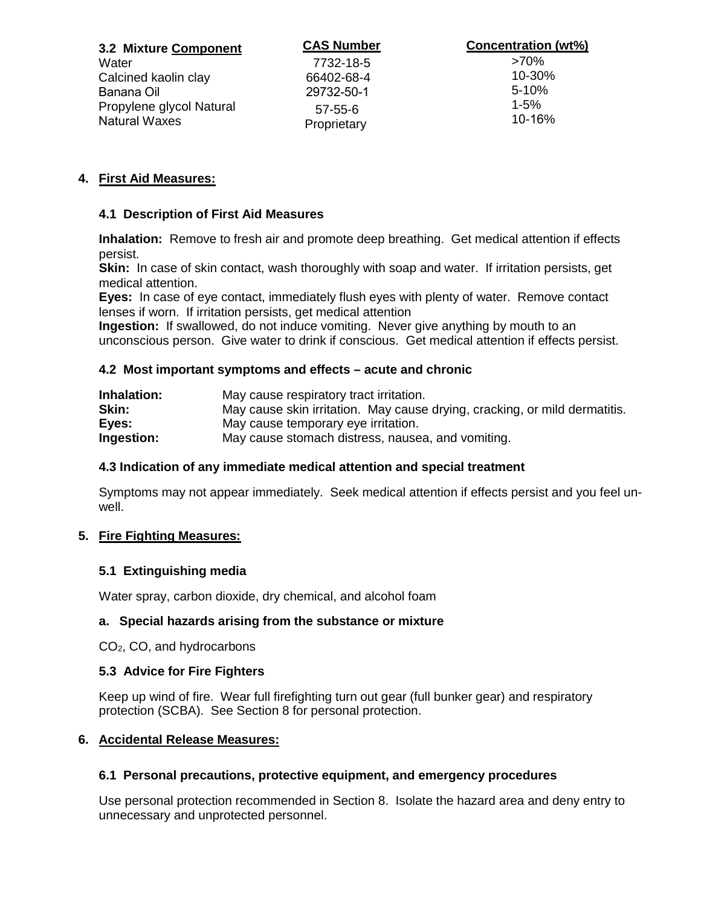| 3.2 Mixture Component                            | <b>CAS Number</b>            | <b>Concentration (wt%)</b> |
|--------------------------------------------------|------------------------------|----------------------------|
| Water                                            | 7732-18-5                    | >70%                       |
| Calcined kaolin clay                             | 66402-68-4                   | 10-30%                     |
| Banana Oil                                       | 29732-50-1                   | $5 - 10%$                  |
| Propylene glycol Natural<br><b>Natural Waxes</b> | $57 - 55 - 6$<br>Proprietary | $1 - 5%$<br>$10 - 16%$     |

# **4. First Aid Measures:**

## **4.1 Description of First Aid Measures**

**Inhalation:** Remove to fresh air and promote deep breathing. Get medical attention if effects persist.

**Skin:** In case of skin contact, wash thoroughly with soap and water. If irritation persists, get medical attention.

**Eyes:** In case of eye contact, immediately flush eyes with plenty of water. Remove contact lenses if worn. If irritation persists, get medical attention

**Ingestion:** If swallowed, do not induce vomiting. Never give anything by mouth to an unconscious person. Give water to drink if conscious. Get medical attention if effects persist.

### **4.2 Most important symptoms and effects – acute and chronic**

| Inhalation: | May cause respiratory tract irritation.                                    |
|-------------|----------------------------------------------------------------------------|
| Skin:       | May cause skin irritation. May cause drying, cracking, or mild dermatitis. |
| Eyes:       | May cause temporary eye irritation.                                        |
| Ingestion:  | May cause stomach distress, nausea, and vomiting.                          |

## **4.3 Indication of any immediate medical attention and special treatment**

Symptoms may not appear immediately. Seek medical attention if effects persist and you feel unwell.

## **5. Fire Fighting Measures:**

## **5.1 Extinguishing media**

Water spray, carbon dioxide, dry chemical, and alcohol foam

#### **a. Special hazards arising from the substance or mixture**

CO2, CO, and hydrocarbons

#### **5.3 Advice for Fire Fighters**

Keep up wind of fire.Wear full firefighting turn out gear (full bunker gear) and respiratory protection (SCBA). See Section 8 for personal protection.

#### **6. Accidental Release Measures:**

## **6.1 Personal precautions, protective equipment, and emergency procedures**

Use personal protection recommended in Section 8. Isolate the hazard area and deny entry to unnecessary and unprotected personnel.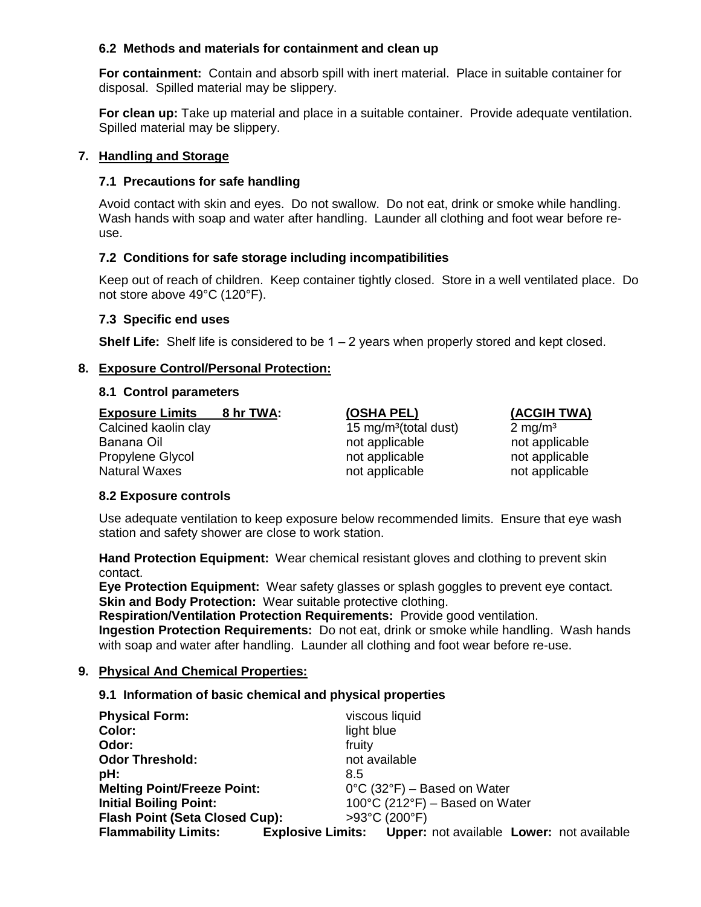## **6.2 Methods and materials for containment and clean up**

**For containment:** Contain and absorb spill with inert material. Place in suitable container for disposal. Spilled material may be slippery.

**For clean up:** Take up material and place in a suitable container. Provide adequate ventilation. Spilled material may be slippery.

#### **7. Handling and Storage**

## **7.1 Precautions for safe handling**

Avoid contact with skin and eyes. Do not swallow. Do not eat, drink or smoke while handling. Wash hands with soap and water after handling. Launder all clothing and foot wear before reuse.

## **7.2 Conditions for safe storage including incompatibilities**

Keep out of reach of children. Keep container tightly closed. Store in a well ventilated place. Do not store above 49°C (120°F).

#### **7.3 Specific end uses**

**Shelf Life:** Shelf life is considered to be 1 – 2 years when properly stored and kept closed.

### **8. Exposure Control/Personal Protection:**

#### **8.1 Control parameters**

**Exposure Limits 8 hr TWA:** Calcined kaolin clay Banana Oil Propylene Glycol Natural Waxes **not applicable** not applicable not applicable

15 mg/m<sup>3</sup>(total dust)  $2 \text{ mg/m}^3$ not applicable not applicable not applicable not applicable

**(OSHA PEL) (ACGIH TWA)** 

#### **8.2 Exposure controls**

Use adequate ventilation to keep exposure below recommended limits. Ensure that eye wash station and safety shower are close to work station.

**Hand Protection Equipment:** Wear chemical resistant gloves and clothing to prevent skin contact.

**Eye Protection Equipment:** Wear safety glasses or splash goggles to prevent eye contact. **Skin and Body Protection: Wear suitable protective clothing.** 

**Respiration/Ventilation Protection Requirements:** Provide good ventilation.

**Ingestion Protection Requirements:** Do not eat, drink or smoke while handling. Wash hands with soap and water after handling. Launder all clothing and foot wear before re-use.

#### **9. Physical And Chemical Properties:**

## **9.1 Information of basic chemical and physical properties**

| <b>Physical Form:</b>                 | viscous liquid                                                     |
|---------------------------------------|--------------------------------------------------------------------|
| Color:                                | light blue                                                         |
| Odor:                                 | fruity                                                             |
| <b>Odor Threshold:</b>                | not available                                                      |
| pH:                                   | 8.5                                                                |
| <b>Melting Point/Freeze Point:</b>    | $0^{\circ}$ C (32 $^{\circ}$ F) – Based on Water                   |
| <b>Initial Boiling Point:</b>         | $100^{\circ}$ C (212 $^{\circ}$ F) – Based on Water                |
| <b>Flash Point (Seta Closed Cup):</b> | >93°C (200°F)                                                      |
| <b>Flammability Limits:</b>           | <b>Explosive Limits:</b> Upper: not available Lower: not available |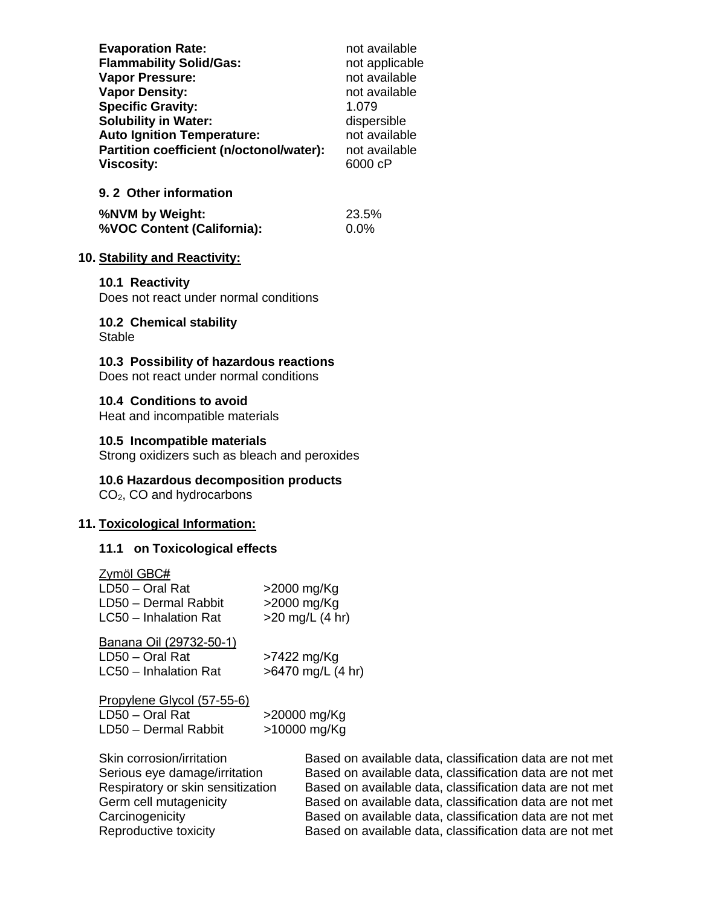| <b>Evaporation Rate:</b>                 | not available  |
|------------------------------------------|----------------|
| <b>Flammability Solid/Gas:</b>           | not applicable |
| <b>Vapor Pressure:</b>                   | not available  |
| <b>Vapor Density:</b>                    | not available  |
| <b>Specific Gravity:</b>                 | 1.079          |
| <b>Solubility in Water:</b>              | dispersible    |
| <b>Auto Ignition Temperature:</b>        | not available  |
| Partition coefficient (n/octonol/water): | not available  |
| <b>Viscosity:</b>                        | 6000 cP        |
| 9.2 Other information                    |                |

| %NVM by Weight:            | 23.5% |
|----------------------------|-------|
| %VOC Content (California): | 0.0%  |

#### **10. Stability and Reactivity:**

#### **10.1 Reactivity**

Does not react under normal conditions

**10.2 Chemical stability Stable** 

**10.3 Possibility of hazardous reactions**

Does not react under normal conditions

#### **10.4 Conditions to avoid**

Heat and incompatible materials

#### **10.5 Incompatible materials**

Strong oxidizers such as bleach and peroxides

#### **10.6 Hazardous decomposition products**

CO2, CO and hydrocarbons

#### **11. Toxicological Information:**

## **11.1 on Toxicological effects**

| Zymöl GBC#<br>LD50 - Oral Rat<br>LD50 - Dermal Rabbit<br>LC50 - Inhalation Rat                                            | >2000 mg/Kg<br>>2000 mg/Kg<br>$>20$ mg/L (4 hr)      |  |
|---------------------------------------------------------------------------------------------------------------------------|------------------------------------------------------|--|
| Banana Oil (29732-50-1)<br>LD50 - Oral Rat<br>LC50 - Inhalation Rat                                                       | $>7422$ mg/Kg<br>>6470 mg/L (4 hr)                   |  |
| Propylene Glycol (57-55-6)<br>LD50 - Oral Rat<br>LD50 - Dermal Rabbit                                                     | >20000 mg/Kg<br>>10000 mg/Kg                         |  |
| Skin corrosion/irritation<br>Serious eye damage/irritation<br>Respiratory or skin sensitization<br>Germ cell mutagenicity | Based on a<br>Based on a<br>Based on a<br>Based on a |  |

available data, classification data are not met available data, classification data are not met available data, classification data are not met available data, classification data are not met Carcinogenicity **Based on available data, classification data are not met**<br>Reproductive toxicity **Based on available data, classification data are not met** Based on available data, classification data are not met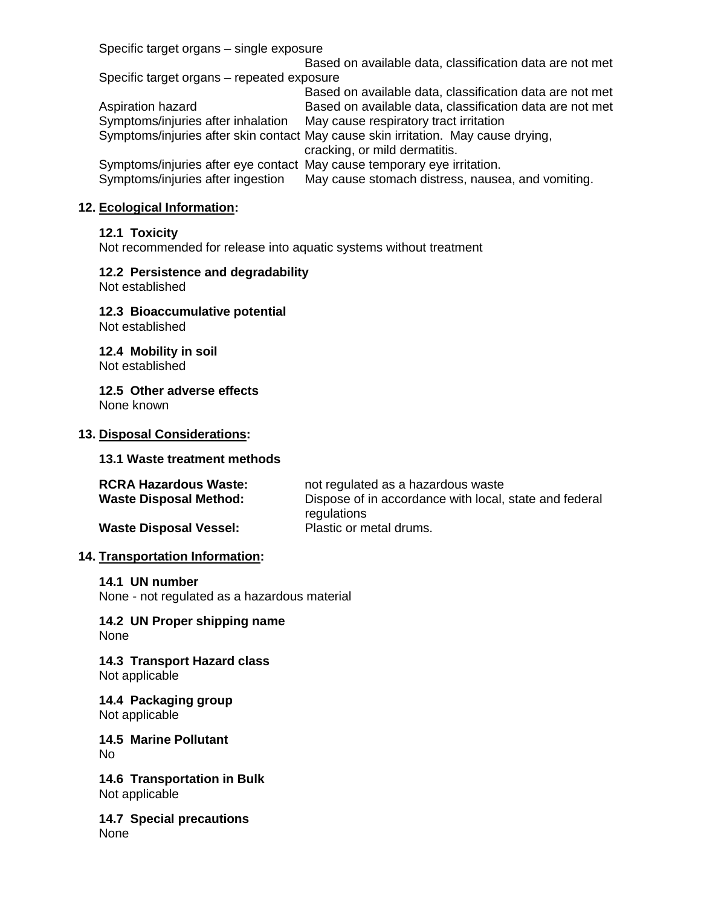Specific target organs – single exposure

Based on available data, classification data are not met Specific target organs – repeated exposure Based on available data, classification data are not met Aspiration hazard **Based on available data, classification data are not met** Symptoms/injuries after inhalation May cause respiratory tract irritation Symptoms/injuries after skin contact May cause skin irritation. May cause drying, cracking, or mild dermatitis. Symptoms/injuries after eye contact May cause temporary eye irritation.<br>Symptoms/injuries after ingestion May cause stomach distress, nause May cause stomach distress, nausea, and vomiting.

## **12. Ecological Information:**

### **12.1 Toxicity**

Not recommended for release into aquatic systems without treatment

### **12.2 Persistence and degradability**

Not established

**12.3 Bioaccumulative potential** Not established

**12.4 Mobility in soil** Not established

**12.5 Other adverse effects** None known

#### **13. Disposal Considerations:**

#### **13.1 Waste treatment methods**

| <b>RCRA Hazardous Waste:</b>  | not regulated as a hazardous waste                     |  |
|-------------------------------|--------------------------------------------------------|--|
| <b>Waste Disposal Method:</b> | Dispose of in accordance with local, state and federal |  |
|                               | regulations                                            |  |
| <b>Waste Disposal Vessel:</b> | Plastic or metal drums.                                |  |

#### **14. Transportation Information:**

#### **14.1 UN number**

None - not regulated as a hazardous material

**14.2 UN Proper shipping name** None

**14.3 Transport Hazard class** Not applicable

**14.4 Packaging group** Not applicable

**14.5 Marine Pollutant** No

**14.6 Transportation in Bulk** Not applicable

**14.7 Special precautions** None